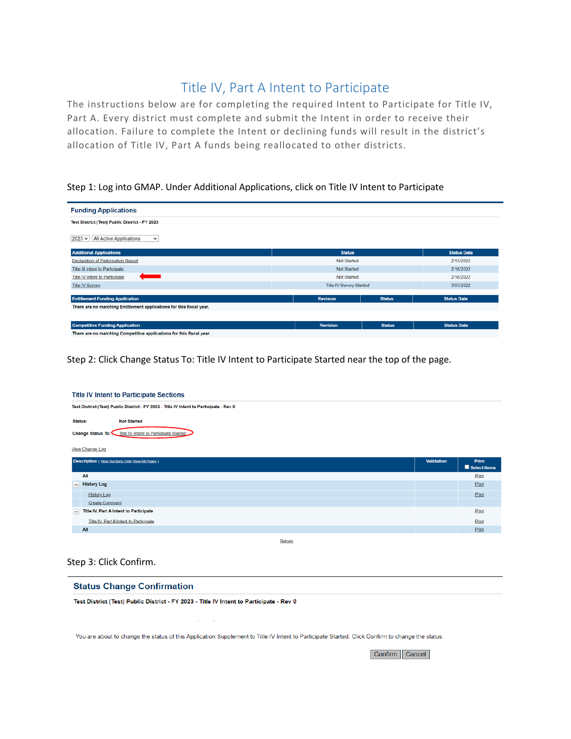# Title IV, Part A Intent to Participate

The instructions below are for completing the required Intent to Participate for Title IV, Part A. Every district must complete and submit the Intent in order to receive their allocation. Failure to complete the Intent or declining funds will result in the district's allocation of Title IV, Part A funds being reallocated to other districts.

# Step 1: Log into GMAP. Under Additional Applications, click on Title IV Intent to Participate

| <b>Funding Applications</b>                                          |                 |                                |                    |  |
|----------------------------------------------------------------------|-----------------|--------------------------------|--------------------|--|
| Test District (Test) Public District - FY 2023                       |                 |                                |                    |  |
| $2023 \times$<br><b>All Active Applications</b><br>$\check{~}$       |                 |                                |                    |  |
| <b>Additional Applications</b>                                       | <b>Status</b>   |                                | <b>Status Date</b> |  |
| Declaration of Participation Report                                  | Not Started     |                                |                    |  |
| <b>Title III Intent to Participate</b>                               | Not Started     |                                |                    |  |
| <b>The Contract</b><br><b>Title IV Intent to Participate</b>         | Not Started     |                                |                    |  |
| <b>Title IV Survey</b>                                               |                 | <b>Title IV Survey Started</b> |                    |  |
|                                                                      |                 |                                |                    |  |
| <b>Entitlement Funding Application</b>                               | <b>Revision</b> | <b>Status</b>                  | <b>Status Date</b> |  |
| There are no matching Entitlement applications for this fiscal year. |                 |                                |                    |  |
|                                                                      |                 |                                |                    |  |
| <b>Competitive Funding Application</b>                               | <b>Revision</b> | <b>Status</b>                  | <b>Status Date</b> |  |
| There are no matching Competitive applications for this fiscal year. |                 |                                |                    |  |

Step 2: Click Change Status To: Title IV Intent to Participate Started near the top of the page.

| <b>Title IV Intent to Participate Sections</b>                                          |                                        |  |                       |  |
|-----------------------------------------------------------------------------------------|----------------------------------------|--|-----------------------|--|
| Test District (Test) Public District - FY 2023 - Title IV Intent to Participate - Rev 0 |                                        |  |                       |  |
| Status:<br><b>Not Started</b>                                                           |                                        |  |                       |  |
| Change Status To: Title IV Intent to Participate Started                                |                                        |  |                       |  |
|                                                                                         | View Change Log                        |  |                       |  |
| Description (View Sections Only View All Pages)<br>Validation                           |                                        |  | Print<br>Select Items |  |
|                                                                                         | All                                    |  | Print                 |  |
|                                                                                         | - History Log                          |  | Print                 |  |
|                                                                                         | <b>History Log</b>                     |  | Print                 |  |
|                                                                                         | <b>Create Comment</b>                  |  |                       |  |
| $\qquad \qquad =$                                                                       | Title IV, Part A Intent to Participate |  | Print                 |  |
|                                                                                         | Title IV. Part A Intent to Participate |  | Print                 |  |
|                                                                                         |                                        |  |                       |  |
|                                                                                         | All                                    |  | Print                 |  |

Return

# Step 3: Click Confirm.

## **Status Change Confirmation**

Test District (Test) Public District - FY 2023 - Title IV Intent to Participate - Rev 0

You are about to change the status of this Application Supplement to Title IV Intent to Participate Started. Click Confirm to change the status.

Confirm Cancel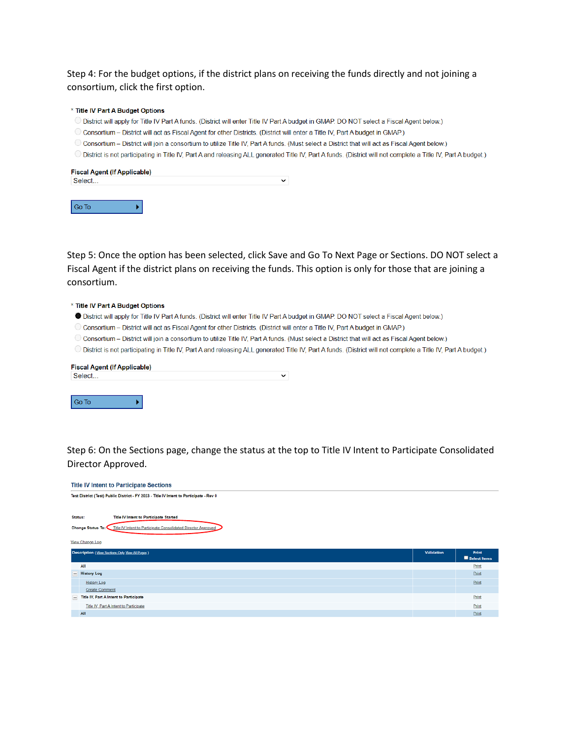Step 4: For the budget options, if the district plans on receiving the funds directly and not joining a consortium, click the first option.

#### \* Title IV Part A Budget Options

¥.

- O District will apply for Title IV Part A funds. (District will enter Title IV Part A budget in GMAP. DO NOT select a Fiscal Agent below.)
- O Consortium District will act as Fiscal Agent for other Districts. (District will enter a Title IV, Part A budget in GMAP.)
- O Consortium District will join a consortium to utilize Title IV, Part A funds. (Must select a District that will act as Fiscal Agent below.)
- O District is not participating in Title IV, Part A and releasing ALL generated Title IV, Part A funds. (District will not complete a Title IV, Part A budget.)

| <b>Fiscal Agent (If Applicable)</b> |  |
|-------------------------------------|--|
| Select                              |  |
|                                     |  |
|                                     |  |

Step 5: Once the option has been selected, click Save and Go To Next Page or Sections. DO NOT select a Fiscal Agent if the district plans on receiving the funds. This option is only for those that are joining a consortium.

#### \* Title IV Part A Budget Options

Go To

- O District will apply for Title IV Part A funds. (District will enter Title IV Part A budget in GMAP. DO NOT select a Fiscal Agent below.)
- O Consortium District will act as Fiscal Agent for other Districts. (District will enter a Title IV, Part A budget in GMAP.)
- O Consortium District will join a consortium to utilize Title IV, Part A funds. (Must select a District that will act as Fiscal Agent below.)
- O District is not participating in Title IV, Part A and releasing ALL generated Title IV, Part A funds. (District will not complete a Title IV, Part A budget.)

| ັ                                   |
|-------------------------------------|
|                                     |
|                                     |
|                                     |
| <b>Fiscal Agent (If Applicable)</b> |

Step 6: On the Sections page, change the status at the top to Title IV Intent to Participate Consolidated Director Approved.

| <b>Title IV Intent to Participate Sections</b>                                          |                                                                                 |                   |                       |  |
|-----------------------------------------------------------------------------------------|---------------------------------------------------------------------------------|-------------------|-----------------------|--|
| Test District (Test) Public District - FY 2023 - Title IV Intent to Participate - Rev 0 |                                                                                 |                   |                       |  |
|                                                                                         |                                                                                 |                   |                       |  |
|                                                                                         | Title IV Intent to Participate Started<br>Status:                               |                   |                       |  |
|                                                                                         | Change Status To: Title IV Intent to Participate Consolidated Director Approved |                   |                       |  |
|                                                                                         |                                                                                 |                   |                       |  |
|                                                                                         | View Change Log                                                                 |                   |                       |  |
|                                                                                         |                                                                                 |                   |                       |  |
|                                                                                         | Description (View Sections Only View All Pages)                                 | <b>Validation</b> | Print<br>Select Items |  |
|                                                                                         | All                                                                             |                   | Print                 |  |
|                                                                                         | - History Log                                                                   |                   | Print                 |  |
|                                                                                         | <b>History Log</b>                                                              |                   | Print                 |  |
|                                                                                         | <b>Create Comment</b>                                                           |                   |                       |  |
|                                                                                         | - Title IV, Part A Intent to Participate                                        |                   | Print                 |  |
|                                                                                         | Title IV, Part A Intent to Participate                                          |                   | Print                 |  |